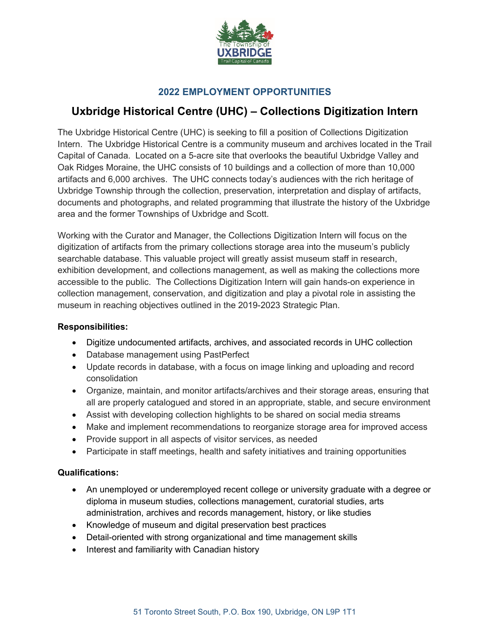

## **2022 EMPLOYMENT OPPORTUNITIES**

## **Uxbridge Historical Centre (UHC) – Collections Digitization Intern**

The Uxbridge Historical Centre (UHC) is seeking to fill a position of Collections Digitization Intern. The Uxbridge Historical Centre is a community museum and archives located in the Trail Capital of Canada. Located on a 5-acre site that overlooks the beautiful Uxbridge Valley and Oak Ridges Moraine, the UHC consists of 10 buildings and a collection of more than 10,000 artifacts and 6,000 archives. The UHC connects today's audiences with the rich heritage of Uxbridge Township through the collection, preservation, interpretation and display of artifacts, documents and photographs, and related programming that illustrate the history of the Uxbridge area and the former Townships of Uxbridge and Scott.

Working with the Curator and Manager, the Collections Digitization Intern will focus on the digitization of artifacts from the primary collections storage area into the museum's publicly searchable database. This valuable project will greatly assist museum staff in research, exhibition development, and collections management, as well as making the collections more accessible to the public. The Collections Digitization Intern will gain hands-on experience in collection management, conservation, and digitization and play a pivotal role in assisting the museum in reaching objectives outlined in the 2019-2023 Strategic Plan.

## **Responsibilities:**

- Digitize undocumented artifacts, archives, and associated records in UHC collection
- Database management using PastPerfect
- Update records in database, with a focus on image linking and uploading and record consolidation
- Organize, maintain, and monitor artifacts/archives and their storage areas, ensuring that all are properly catalogued and stored in an appropriate, stable, and secure environment
- Assist with developing collection highlights to be shared on social media streams
- Make and implement recommendations to reorganize storage area for improved access
- Provide support in all aspects of visitor services, as needed
- Participate in staff meetings, health and safety initiatives and training opportunities

## **Qualifications:**

- An unemployed or underemployed recent college or university graduate with a degree or diploma in museum studies, collections management, curatorial studies, arts administration, archives and records management, history, or like studies
- Knowledge of museum and digital preservation best practices
- Detail-oriented with strong organizational and time management skills
- Interest and familiarity with Canadian history